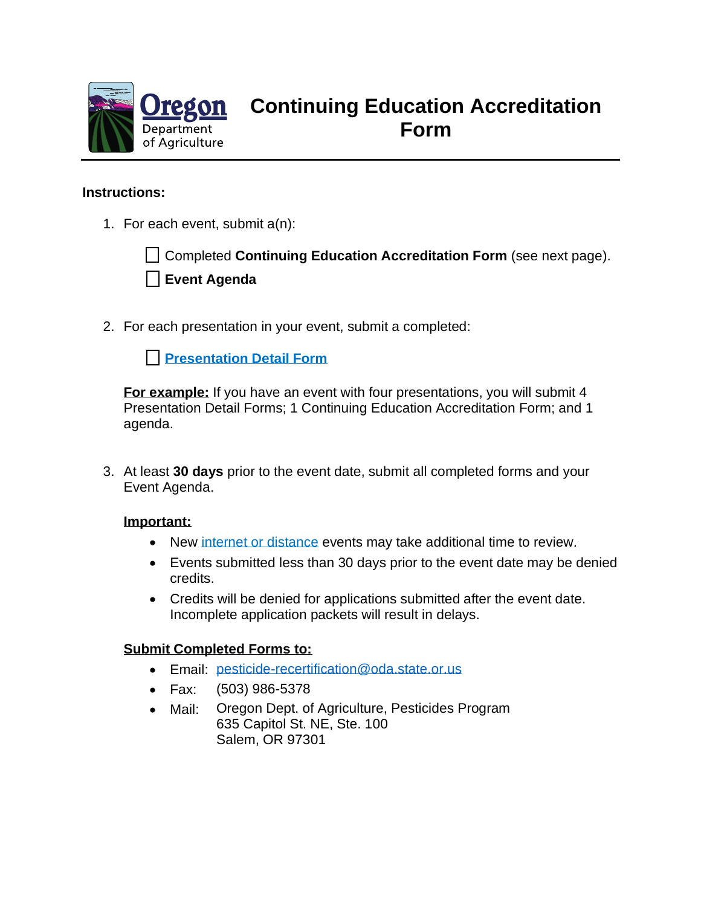

# **Continuing Education Accreditation Form**

### **Instructions:**

1. For each event, submit a(n):

Completed **Continuing Education Accreditation Form** (see next page). **Event Agenda**

2. For each presentation in your event, submit a completed:

**[Presentation Detail Form](https://www.oregon.gov/ODA/shared/Documents/Publications/PesticidesPARC/PresentationDetailForm.pdf)** 

**For example:** If you have an event with four presentations, you will submit 4 Presentation Detail Forms; 1 Continuing Education Accreditation Form; and 1 agenda.

3. At least **30 days** prior to the event date, submit all completed forms and your Event Agenda.

#### **Important:**

- New [internet or distance](https://www.oregon.gov/ODA/shared/Documents/Publications/PesticidesPARC/PesticidesDistanceLearningInstructions.pdf) events may take additional time to review.
- Events submitted less than 30 days prior to the event date may be denied credits.
- Credits will be denied for applications submitted after the event date. Incomplete application packets will result in delays.

#### **Submit Completed Forms to:**

- Email: [pesticide-recertification@oda.state.or.us](mailto:pesticide-recertification@oda.state.or.us)
- Fax: (503) 986-5378
- Mail: Oregon Dept. of Agriculture, Pesticides Program 635 Capitol St. NE, Ste. 100 Salem, OR 97301